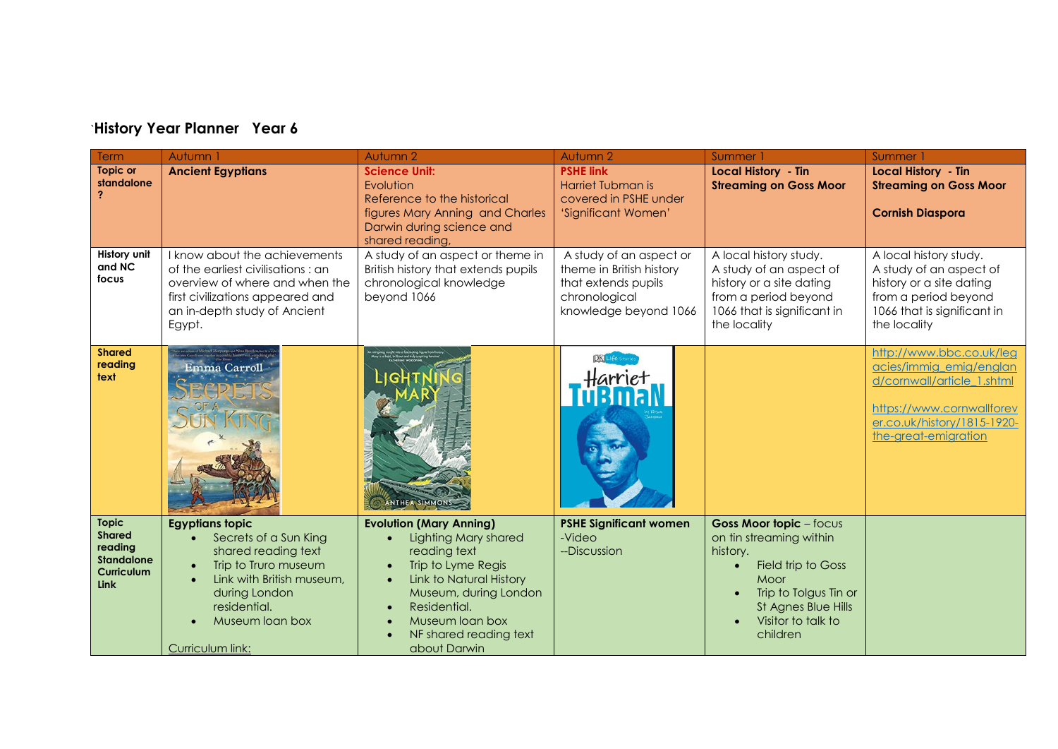## `**History Year Planner Year 6**

| <b>Term</b>                                                                                | Autumn 1                                                                                                                                                                                                                      | Autumn 2                                                                                                                                                                                                                                    | Autumn 2                                                                                                             | Summer 1                                                                                                                                                                              | Summer                                                                                                                                                                |
|--------------------------------------------------------------------------------------------|-------------------------------------------------------------------------------------------------------------------------------------------------------------------------------------------------------------------------------|---------------------------------------------------------------------------------------------------------------------------------------------------------------------------------------------------------------------------------------------|----------------------------------------------------------------------------------------------------------------------|---------------------------------------------------------------------------------------------------------------------------------------------------------------------------------------|-----------------------------------------------------------------------------------------------------------------------------------------------------------------------|
| <b>Topic or</b><br>standalone                                                              | <b>Ancient Egyptians</b>                                                                                                                                                                                                      | <b>Science Unit:</b><br>Evolution<br>Reference to the historical<br>figures Mary Anning and Charles<br>Darwin during science and<br>shared reading,                                                                                         | <b>PSHE link</b><br>Harriet Tubman is<br>covered in PSHE under<br>'Significant Women'                                | <b>Local History - Tin</b><br><b>Streaming on Goss Moor</b>                                                                                                                           | <b>Local History - Tin</b><br><b>Streaming on Goss Moor</b><br><b>Cornish Diaspora</b>                                                                                |
| History unit<br>and NC<br>focus                                                            | I know about the achievements<br>of the earliest civilisations : an<br>overview of where and when the<br>first civilizations appeared and<br>an in-depth study of Ancient<br>Egypt.                                           | A study of an aspect or theme in<br>British history that extends pupils<br>chronological knowledge<br>beyond 1066                                                                                                                           | A study of an aspect or<br>theme in British history<br>that extends pupils<br>chronological<br>knowledge beyond 1066 | A local history study.<br>A study of an aspect of<br>history or a site dating<br>from a period beyond<br>1066 that is significant in<br>the locality                                  | A local history study.<br>A study of an aspect of<br>history or a site dating<br>from a period beyond<br>1066 that is significant in<br>the locality                  |
| <b>Shared</b><br>reading<br>text                                                           | Emma Carroll                                                                                                                                                                                                                  | INTHEA SIMMONS                                                                                                                                                                                                                              | DK Life Sto                                                                                                          |                                                                                                                                                                                       | http://www.bbc.co.uk/leg<br>acies/immig_emig/englan<br>d/cornwall/article 1.shtml<br>https://www.cornwallforev<br>er.co.uk/history/1815-1920-<br>the-great-emigration |
| <b>Topic</b><br><b>Shared</b><br>reading<br><b>Standalone</b><br><b>Curriculum</b><br>Link | <b>Egyptians topic</b><br>Secrets of a Sun King<br>$\bullet$<br>shared reading text<br>Trip to Truro museum<br>$\bullet$<br>Link with British museum,<br>during London<br>residential.<br>Museum loan box<br>Curriculum link: | <b>Evolution (Mary Anning)</b><br><b>Lighting Mary shared</b><br>reading text<br>Trip to Lyme Regis<br><b>Link to Natural History</b><br>Museum, during London<br>Residential.<br>Museum loan box<br>NF shared reading text<br>about Darwin | <b>PSHE Significant women</b><br>-Video<br>--Discussion                                                              | <b>Goss Moor topic</b> - focus<br>on tin streaming within<br>history.<br>Field trip to Goss<br>Moor<br>Trip to Tolgus Tin or<br>St Agnes Blue Hills<br>Visitor to talk to<br>children |                                                                                                                                                                       |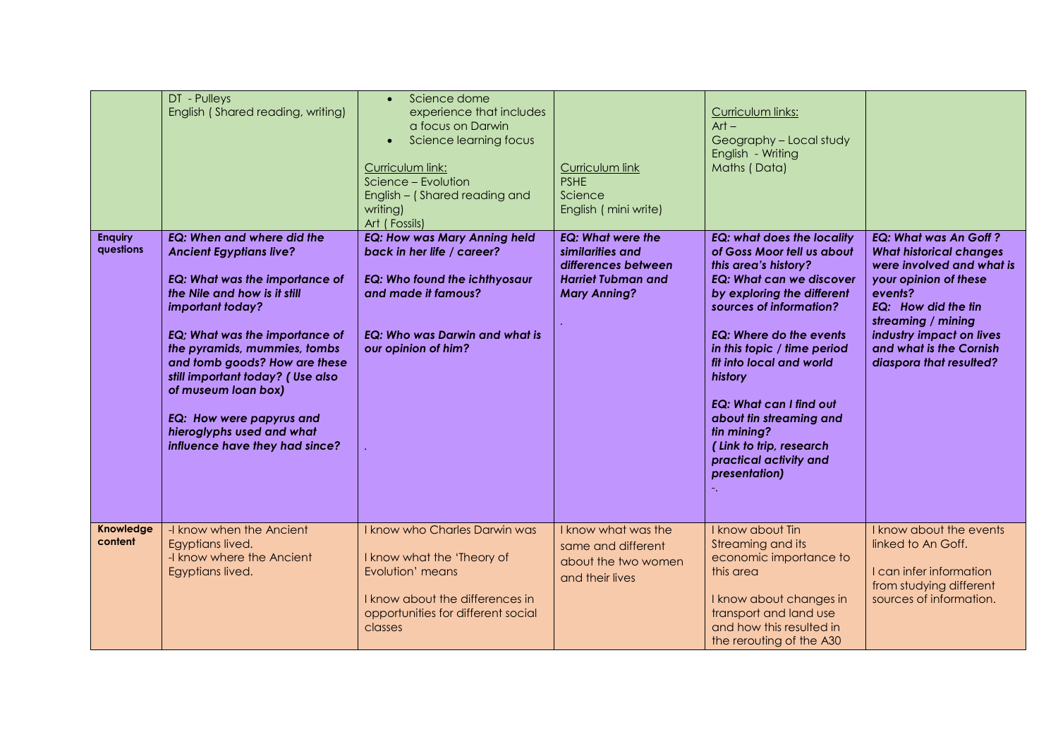|                             | DT - Pulleys<br>English (Shared reading, writing)                                                                                                                                                                                                                                                                                                                                                                         | Science dome<br>$\bullet$<br>experience that includes<br>a focus on Darwin<br>Science learning focus<br>$\bullet$<br>Curriculum link:<br>Science - Evolution<br>English - (Shared reading and<br>writing)<br>Art (Fossils) | Curriculum link<br><b>PSHE</b><br>Science<br>English (mini write)                                                       | Curriculum links:<br>$Art -$<br>Geography - Local study<br>English - Writing<br>Maths (Data)                                                                                                                                                                                                                                                                                                                                                  |                                                                                                                                                                                                                                                                |
|-----------------------------|---------------------------------------------------------------------------------------------------------------------------------------------------------------------------------------------------------------------------------------------------------------------------------------------------------------------------------------------------------------------------------------------------------------------------|----------------------------------------------------------------------------------------------------------------------------------------------------------------------------------------------------------------------------|-------------------------------------------------------------------------------------------------------------------------|-----------------------------------------------------------------------------------------------------------------------------------------------------------------------------------------------------------------------------------------------------------------------------------------------------------------------------------------------------------------------------------------------------------------------------------------------|----------------------------------------------------------------------------------------------------------------------------------------------------------------------------------------------------------------------------------------------------------------|
| <b>Enquiry</b><br>questions | <b>EQ: When and where did the</b><br><b>Ancient Egyptians live?</b><br><b>EQ: What was the importance of</b><br>the Nile and how is it still<br>important today?<br>EQ; What was the importance of<br>the pyramids, mummies, tombs<br>and tomb goods? How are these<br>still important today? (Use also<br>of museum loan box)<br>EQ: How were papyrus and<br>hieroglyphs used and what<br>influence have they had since? | <b>EQ: How was Mary Anning held</b><br>back in her life / career?<br><b>EQ: Who found the ichthyosaur</b><br>and made it famous?<br><b>EQ: Who was Darwin and what is</b><br>our opinion of him?                           | <b>EQ: What were the</b><br>similarities and<br>differences between<br><b>Harriet Tubman and</b><br><b>Mary Anning?</b> | <b>EQ: what does the locality</b><br>of Goss Moor tell us about<br>this area's history?<br><b>EQ: What can we discover</b><br>by exploring the different<br>sources of information?<br><b>EQ: Where do the events</b><br>in this topic / time period<br>fit into local and world<br>history<br><b>EQ: What can I find out</b><br>about tin streaming and<br>tin mining?<br>(Link to trip, research<br>practical activity and<br>presentation) | <b>EQ: What was An Goff?</b><br><b>What historical changes</b><br>were involved and what is<br>your opinion of these<br>events?<br>EQ: How did the fin<br>streaming / mining<br>industry impact on lives<br>and what is the Cornish<br>diaspora that resulted? |
| Knowledge<br>content        | -I know when the Ancient<br>Egyptians lived.<br>-I know where the Ancient<br>Egyptians lived.                                                                                                                                                                                                                                                                                                                             | I know who Charles Darwin was<br>I know what the 'Theory of<br>Evolution' means<br>I know about the differences in<br>opportunities for different social<br>classes                                                        | I know what was the<br>same and different<br>about the two women<br>and their lives                                     | I know about Tin<br>Streaming and its<br>economic importance to<br>this area<br>I know about changes in<br>transport and land use<br>and how this resulted in<br>the rerouting of the A30                                                                                                                                                                                                                                                     | I know about the events<br>linked to An Goff.<br>I can infer information<br>from studying different<br>sources of information.                                                                                                                                 |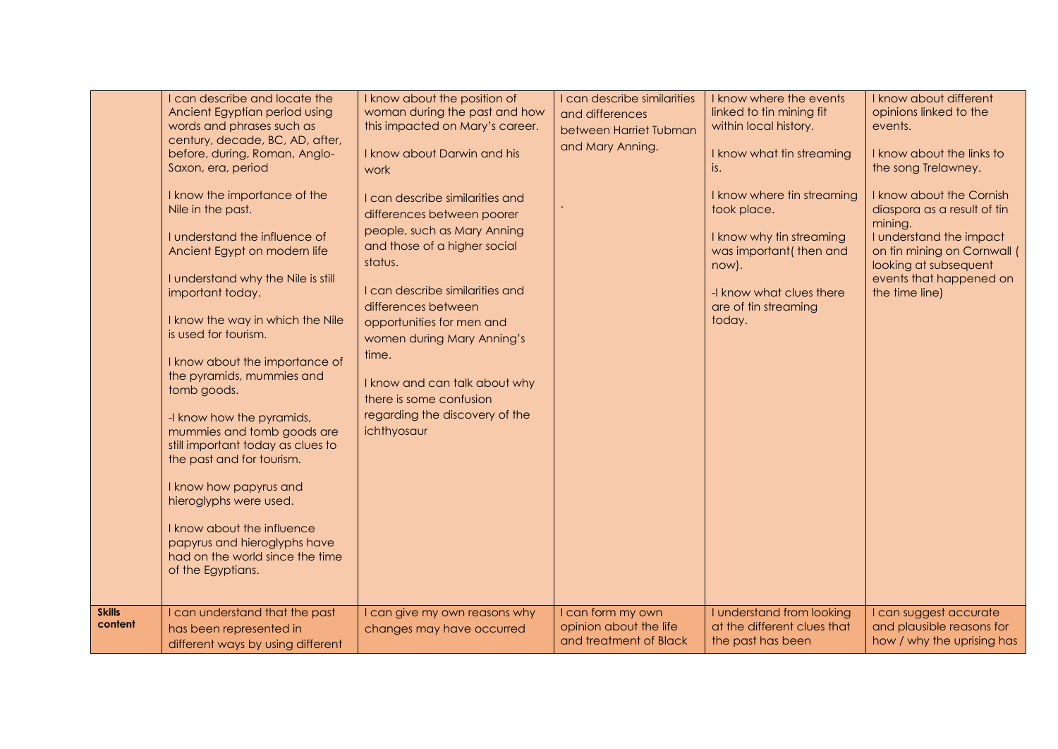|                          | I can describe and locate the<br>Ancient Egyptian period using<br>words and phrases such as<br>century, decade, BC, AD, after,<br>before, during, Roman, Anglo-<br>Saxon, era, period<br>I know the importance of the<br>Nile in the past.<br>I understand the influence of<br>Ancient Egypt on modern life<br>I understand why the Nile is still<br>important today.<br>I know the way in which the Nile<br>is used for tourism.<br>I know about the importance of<br>the pyramids, mummies and<br>tomb goods.<br>-I know how the pyramids,<br>mummies and tomb goods are<br>still important today as clues to<br>the past and for tourism.<br>I know how papyrus and<br>hieroglyphs were used.<br>I know about the influence<br>papyrus and hieroglyphs have<br>had on the world since the time<br>of the Egyptians. | I know about the position of<br>woman during the past and how<br>this impacted on Mary's career.<br>I know about Darwin and his<br>work<br>I can describe similarities and<br>differences between poorer<br>people, such as Mary Anning<br>and those of a higher social<br>status.<br>I can describe similarities and<br>differences between<br>opportunities for men and<br>women during Mary Anning's<br>time.<br>I know and can talk about why<br>there is some confusion<br>regarding the discovery of the<br>ichthyosaur | I can describe similarities<br>and differences<br>between Harriet Tubman<br>and Mary Anning. | I know where the events<br>linked to tin mining fit<br>within local history.<br>I know what tin streaming<br>is.<br>I know where tin streaming<br>took place.<br>I know why tin streaming<br>was important(then and<br>now).<br>-I know what clues there<br>are of tin streaming<br>today. | I know about different<br>opinions linked to the<br>events.<br>I know about the links to<br>the song Trelawney.<br>I know about the Cornish<br>diaspora as a result of tin<br>mining.<br>I understand the impact<br>on tin mining on Cornwall (<br>looking at subsequent<br>events that happened on<br>the time line) |
|--------------------------|------------------------------------------------------------------------------------------------------------------------------------------------------------------------------------------------------------------------------------------------------------------------------------------------------------------------------------------------------------------------------------------------------------------------------------------------------------------------------------------------------------------------------------------------------------------------------------------------------------------------------------------------------------------------------------------------------------------------------------------------------------------------------------------------------------------------|-------------------------------------------------------------------------------------------------------------------------------------------------------------------------------------------------------------------------------------------------------------------------------------------------------------------------------------------------------------------------------------------------------------------------------------------------------------------------------------------------------------------------------|----------------------------------------------------------------------------------------------|--------------------------------------------------------------------------------------------------------------------------------------------------------------------------------------------------------------------------------------------------------------------------------------------|-----------------------------------------------------------------------------------------------------------------------------------------------------------------------------------------------------------------------------------------------------------------------------------------------------------------------|
| <b>Skills</b><br>content | I can understand that the past<br>has been represented in<br>different ways by using different                                                                                                                                                                                                                                                                                                                                                                                                                                                                                                                                                                                                                                                                                                                         | I can give my own reasons why<br>changes may have occurred                                                                                                                                                                                                                                                                                                                                                                                                                                                                    | I can form my own<br>opinion about the life<br>and treatment of Black                        | I understand from looking<br>at the different clues that<br>the past has been                                                                                                                                                                                                              | I can suggest accurate<br>and plausible reasons for<br>how / why the uprising has                                                                                                                                                                                                                                     |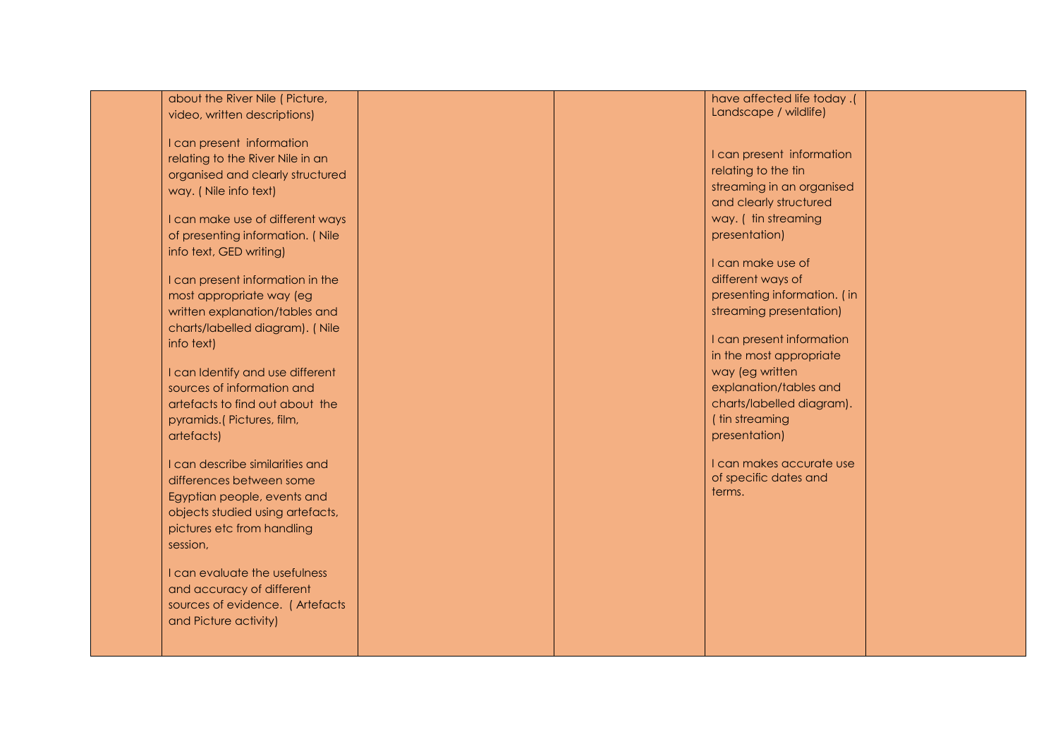| about the River Nile (Picture,   |  | have affected life today.(      |  |
|----------------------------------|--|---------------------------------|--|
| video, written descriptions)     |  | Landscape / wildlife)           |  |
|                                  |  |                                 |  |
| I can present information        |  |                                 |  |
| relating to the River Nile in an |  | I can present information       |  |
| organised and clearly structured |  | relating to the tin             |  |
| way. (Nile info text)            |  | streaming in an organised       |  |
|                                  |  | and clearly structured          |  |
| I can make use of different ways |  | way. ( tin streaming            |  |
| of presenting information. (Nile |  | presentation)                   |  |
| info text, GED writing)          |  |                                 |  |
|                                  |  | I can make use of               |  |
| I can present information in the |  | different ways of               |  |
| most appropriate way (eg         |  | presenting information. (in     |  |
| written explanation/tables and   |  | streaming presentation)         |  |
| charts/labelled diagram). (Nile  |  |                                 |  |
| info text)                       |  | I can present information       |  |
|                                  |  | in the most appropriate         |  |
| I can Identify and use different |  | way (eg written                 |  |
| sources of information and       |  | explanation/tables and          |  |
| artefacts to find out about the  |  | charts/labelled diagram).       |  |
| pyramids.(Pictures, film,        |  | ( tin streaming                 |  |
| artefacts)                       |  | presentation)                   |  |
|                                  |  |                                 |  |
| I can describe similarities and  |  | I can makes accurate use        |  |
| differences between some         |  | of specific dates and<br>terms. |  |
| Egyptian people, events and      |  |                                 |  |
| objects studied using artefacts, |  |                                 |  |
| pictures etc from handling       |  |                                 |  |
| session,                         |  |                                 |  |
|                                  |  |                                 |  |
| I can evaluate the usefulness    |  |                                 |  |
| and accuracy of different        |  |                                 |  |
| sources of evidence. (Artefacts  |  |                                 |  |
| and Picture activity)            |  |                                 |  |
|                                  |  |                                 |  |
|                                  |  |                                 |  |